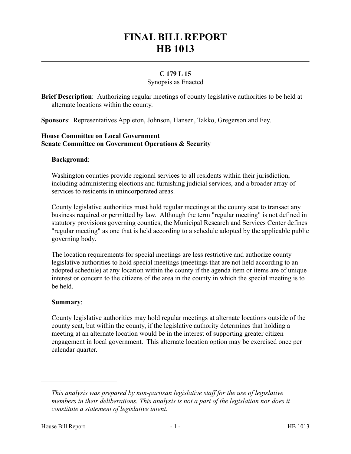# **FINAL BILL REPORT HB 1013**

## **C 179 L 15**

#### Synopsis as Enacted

**Brief Description**: Authorizing regular meetings of county legislative authorities to be held at alternate locations within the county.

**Sponsors**: Representatives Appleton, Johnson, Hansen, Takko, Gregerson and Fey.

### **House Committee on Local Government Senate Committee on Government Operations & Security**

#### **Background**:

Washington counties provide regional services to all residents within their jurisdiction, including administering elections and furnishing judicial services, and a broader array of services to residents in unincorporated areas.

County legislative authorities must hold regular meetings at the county seat to transact any business required or permitted by law. Although the term "regular meeting" is not defined in statutory provisions governing counties, the Municipal Research and Services Center defines "regular meeting" as one that is held according to a schedule adopted by the applicable public governing body.

The location requirements for special meetings are less restrictive and authorize county legislative authorities to hold special meetings (meetings that are not held according to an adopted schedule) at any location within the county if the agenda item or items are of unique interest or concern to the citizens of the area in the county in which the special meeting is to be held.

#### **Summary**:

County legislative authorities may hold regular meetings at alternate locations outside of the county seat, but within the county, if the legislative authority determines that holding a meeting at an alternate location would be in the interest of supporting greater citizen engagement in local government. This alternate location option may be exercised once per calendar quarter.

––––––––––––––––––––––

*This analysis was prepared by non-partisan legislative staff for the use of legislative members in their deliberations. This analysis is not a part of the legislation nor does it constitute a statement of legislative intent.*